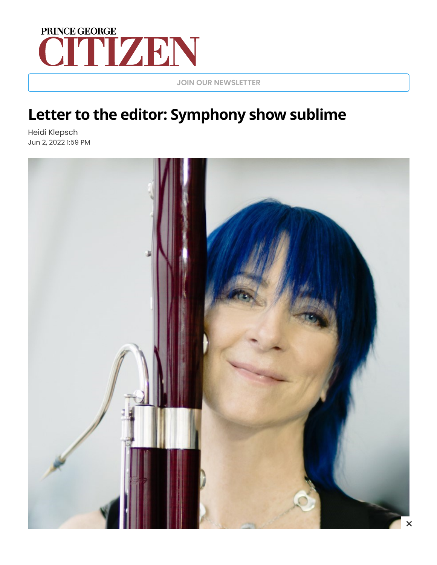## CITTZEN

**JOIN OUR [NEWSLETTER](https://www.princegeorgecitizen.com/account/mailinglist)**

## **Letter to the editor: Symphony show sublime**

Heidi Klepsch Jun 2, 2022 1:59 PM

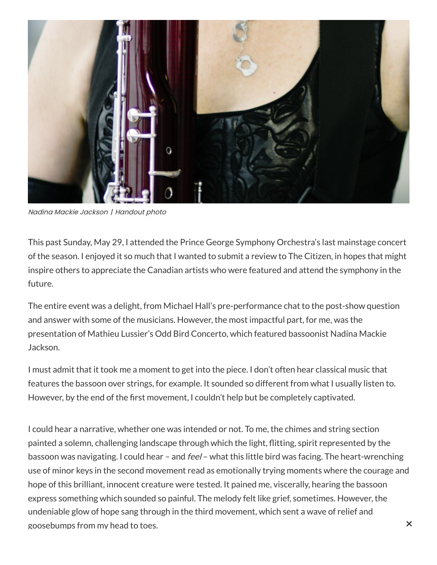

Nadina Mackie Jackson | Handout photo

This past Sunday, May 29, I attended the Prince George Symphony Orchestra's last mainstage concert of the season. I enjoyed it so much that I wanted to submit a review to The Citizen, in hopes that might inspire others to appreciate the Canadian artists who were featured and attend the symphony in the future.

The entire event was a delight, from Michael Hall's pre-performance chat to the post-show question and answer with some of the musicians. However, the most impactful part, for me, was the presentation of Mathieu Lussier's Odd Bird Concerto, which featured bassoonist Nadina Mackie Jackson.

I must admit that it took me a moment to get into the piece. I don't often hear classical music that features the bassoon over strings, for example. It sounded so different from what I usually listen to. However, by the end of the first movement, I couldn't help but be completely captivated.

I could hear a narrative, whether one was intended or not. To me, the chimes and string section painted a solemn, challenging landscape through which the light, flitting, spirit represented by the bassoon was navigating. I could hear – and feel – what this little bird was facing. The heart-wrenching use of minor keys in the second movement read as emotionally trying moments where the courage and hope of this brilliant, innocent creature were tested. It pained me, viscerally, hearing the bassoon express something which sounded so painful. The melody felt like grief, sometimes. However, the undeniable glow of hope sang through in the third movement, which sent a wave of relief and goosebumps from my head to toes.